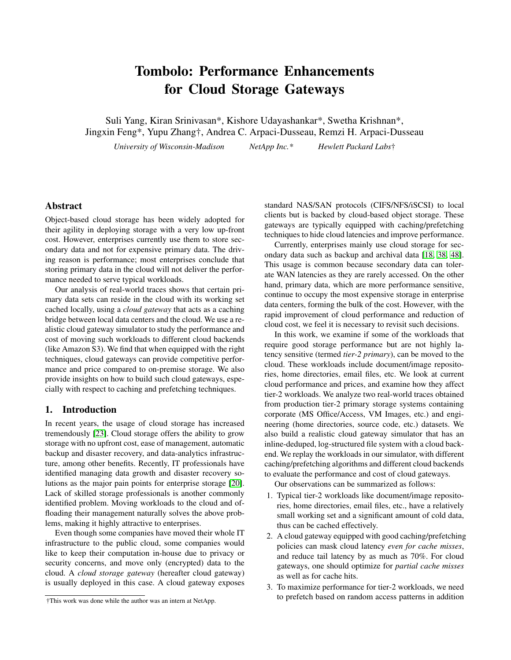# Tombolo: Performance Enhancements for Cloud Storage Gateways

Suli Yang, Kiran Srinivasan\*, Kishore Udayashankar\*, Swetha Krishnan\*, Jingxin Feng\*, Yupu Zhang†, Andrea C. Arpaci-Dusseau, Remzi H. Arpaci-Dusseau

*University of Wisconsin-Madison NetApp Inc.\* Hewlett Packard Labs*†

# Abstract

Object-based cloud storage has been widely adopted for their agility in deploying storage with a very low up-front cost. However, enterprises currently use them to store secondary data and not for expensive primary data. The driving reason is performance; most enterprises conclude that storing primary data in the cloud will not deliver the performance needed to serve typical workloads.

Our analysis of real-world traces shows that certain primary data sets can reside in the cloud with its working set cached locally, using a *cloud gateway* that acts as a caching bridge between local data centers and the cloud. We use a realistic cloud gateway simulator to study the performance and cost of moving such workloads to different cloud backends (like Amazon S3). We find that when equipped with the right techniques, cloud gateways can provide competitive performance and price compared to on-premise storage. We also provide insights on how to build such cloud gateways, especially with respect to caching and prefetching techniques.

# 1. Introduction

In recent years, the usage of cloud storage has increased tremendously [\[23\]](#page-13-0). Cloud storage offers the ability to grow storage with no upfront cost, ease of management, automatic backup and disaster recovery, and data-analytics infrastructure, among other benefits. Recently, IT professionals have identified managing data growth and disaster recovery solutions as the major pain points for enterprise storage [\[20\]](#page-13-1). Lack of skilled storage professionals is another commonly identified problem. Moving workloads to the cloud and offloading their management naturally solves the above problems, making it highly attractive to enterprises.

Even though some companies have moved their whole IT infrastructure to the public cloud, some companies would like to keep their computation in-house due to privacy or security concerns, and move only (encrypted) data to the cloud. A *cloud storage gateway* (hereafter cloud gateway) is usually deployed in this case. A cloud gateway exposes standard NAS/SAN protocols (CIFS/NFS/iSCSI) to local clients but is backed by cloud-based object storage. These gateways are typically equipped with caching/prefetching techniques to hide cloud latencies and improve performance.

Currently, enterprises mainly use cloud storage for secondary data such as backup and archival data [\[18,](#page-13-2) [38,](#page-14-0) [48\]](#page-14-1). This usage is common because secondary data can tolerate WAN latencies as they are rarely accessed. On the other hand, primary data, which are more performance sensitive, continue to occupy the most expensive storage in enterprise data centers, forming the bulk of the cost. However, with the rapid improvement of cloud performance and reduction of cloud cost, we feel it is necessary to revisit such decisions.

In this work, we examine if some of the workloads that require good storage performance but are not highly latency sensitive (termed *tier-2 primary*), can be moved to the cloud. These workloads include document/image repositories, home directories, email files, etc. We look at current cloud performance and prices, and examine how they affect tier-2 workloads. We analyze two real-world traces obtained from production tier-2 primary storage systems containing corporate (MS Office/Access, VM Images, etc.) and engineering (home directories, source code, etc.) datasets. We also build a realistic cloud gateway simulator that has an inline-deduped, log-structured file system with a cloud backend. We replay the workloads in our simulator, with different caching/prefetching algorithms and different cloud backends to evaluate the performance and cost of cloud gateways.

Our observations can be summarized as follows:

- 1. Typical tier-2 workloads like document/image repositories, home directories, email files, etc., have a relatively small working set and a significant amount of cold data, thus can be cached effectively.
- 2. A cloud gateway equipped with good caching/prefetching policies can mask cloud latency *even for cache misses*, and reduce tail latency by as much as 70%. For cloud gateways, one should optimize for *partial cache misses* as well as for cache hits.
- 3. To maximize performance for tier-2 workloads, we need to prefetch based on random access patterns in addition

<sup>†</sup>This work was done while the author was an intern at NetApp.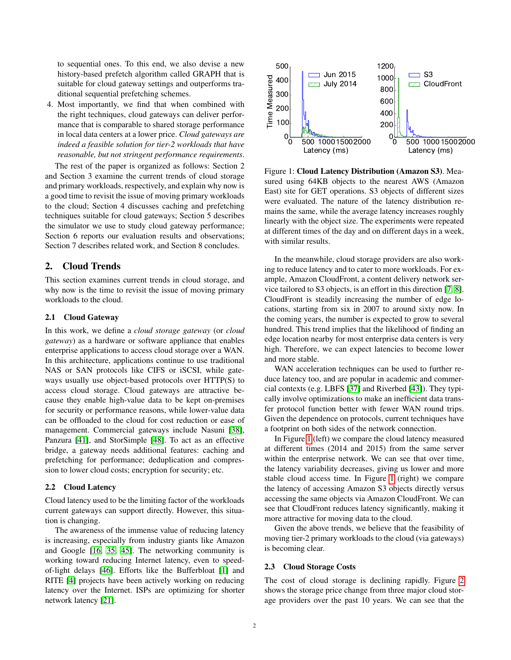to sequential ones. To this end, we also devise a new history-based prefetch algorithm called GRAPH that is suitable for cloud gateway settings and outperforms traditional sequential prefetching schemes.

4. Most importantly, we find that when combined with the right techniques, cloud gateways can deliver performance that is comparable to shared storage performance in local data centers at a lower price. *Cloud gateways are indeed a feasible solution for tier-2 workloads that have reasonable, but not stringent performance requirements*.

The rest of the paper is organized as follows: Section 2 and Section 3 examine the current trends of cloud storage and primary workloads, respectively, and explain why now is a good time to revisit the issue of moving primary workloads to the cloud; Section 4 discusses caching and prefetching techniques suitable for cloud gateways; Section 5 describes the simulator we use to study cloud gateway performance; Section 6 reports our evaluation results and observations; Section 7 describes related work, and Section 8 concludes.

# 2. Cloud Trends

This section examines current trends in cloud storage, and why now is the time to revisit the issue of moving primary workloads to the cloud.

# 2.1 Cloud Gateway

In this work, we define a *cloud storage gateway* (or *cloud gateway*) as a hardware or software appliance that enables enterprise applications to access cloud storage over a WAN. In this architecture, applications continue to use traditional NAS or SAN protocols like CIFS or iSCSI, while gateways usually use object-based protocols over HTTP(S) to access cloud storage. Cloud gateways are attractive because they enable high-value data to be kept on-premises for security or performance reasons, while lower-value data can be offloaded to the cloud for cost reduction or ease of management. Commercial gateways include Nasuni [\[38\]](#page-14-0), Panzura [\[41\]](#page-14-2), and StorSimple [\[48\]](#page-14-1). To act as an effective bridge, a gateway needs additional features: caching and prefetching for performance; deduplication and compression to lower cloud costs; encryption for security; etc.

#### 2.2 Cloud Latency

Cloud latency used to be the limiting factor of the workloads current gateways can support directly. However, this situation is changing.

The awareness of the immense value of reducing latency is increasing, especially from industry giants like Amazon and Google [\[16,](#page-13-3) [35,](#page-14-3) [45\]](#page-14-4). The networking community is working toward reducing Internet latency, even to speedof-light delays [\[46\]](#page-14-5). Efforts like the Bufferbloat [\[1\]](#page-13-4) and RITE [\[4\]](#page-13-5) projects have been actively working on reducing latency over the Internet. ISPs are optimizing for shorter network latency [\[21\]](#page-13-6).

<span id="page-1-0"></span>

Figure 1: Cloud Latency Distribution (Amazon S3). Measured using 64KB objects to the nearest AWS (Amazon East) site for GET operations. S3 objects of different sizes were evaluated. The nature of the latency distribution remains the same, while the average latency increases roughly linearly with the object size. The experiments were repeated at different times of the day and on different days in a week, with similar results.

In the meanwhile, cloud storage providers are also working to reduce latency and to cater to more workloads. For example, Amazon CloudFront, a content delivery network service tailored to S3 objects, is an effort in this direction [\[7,](#page-13-7) [8\]](#page-13-8). CloudFront is steadily increasing the number of edge locations, starting from six in 2007 to around sixty now. In the coming years, the number is expected to grow to several hundred. This trend implies that the likelihood of finding an edge location nearby for most enterprise data centers is very high. Therefore, we can expect latencies to become lower and more stable.

WAN acceleration techniques can be used to further reduce latency too, and are popular in academic and commercial contexts (e.g. LBFS [\[37\]](#page-14-6) and Riverbed [\[43\]](#page-14-7)). They typically involve optimizations to make an inefficient data transfer protocol function better with fewer WAN round trips. Given the dependence on protocols, current techniques have a footprint on both sides of the network connection.

In Figure [1](#page-1-0) (left) we compare the cloud latency measured at different times (2014 and 2015) from the same server within the enterprise network. We can see that over time, the latency variability decreases, giving us lower and more stable cloud access time. In Figure [1](#page-1-0) (right) we compare the latency of accessing Amazon S3 objects directly versus accessing the same objects via Amazon CloudFront. We can see that CloudFront reduces latency significantly, making it more attractive for moving data to the cloud.

Given the above trends, we believe that the feasibility of moving tier-2 primary workloads to the cloud (via gateways) is becoming clear.

# 2.3 Cloud Storage Costs

The cost of cloud storage is declining rapidly. Figure [2](#page-2-0) shows the storage price change from three major cloud storage providers over the past 10 years. We can see that the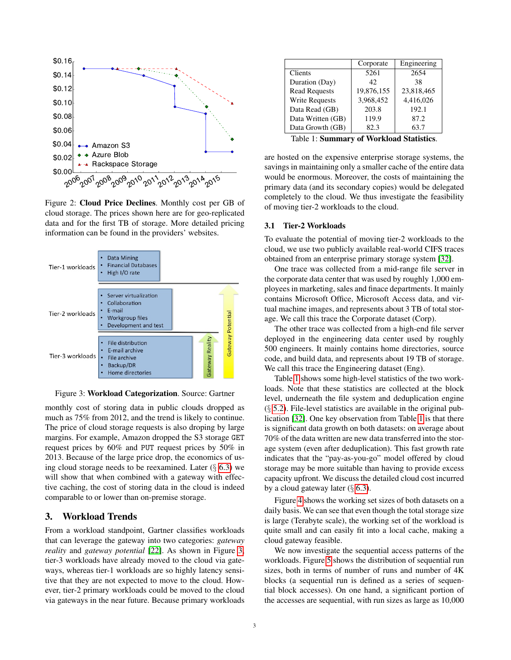<span id="page-2-0"></span>

Figure 2: Cloud Price Declines. Monthly cost per GB of cloud storage. The prices shown here are for geo-replicated data and for the first TB of storage. More detailed pricing information can be found in the providers' websites.

<span id="page-2-1"></span>

Figure 3: Workload Categorization. Source: Gartner

monthly cost of storing data in public clouds dropped as much as 75% from 2012, and the trend is likely to continue. The price of cloud storage requests is also droping by large margins. For example, Amazon dropped the S3 storage GET request prices by 60% and PUT request prices by 50% in 2013. Because of the large price drop, the economics of using cloud storage needs to be reexamined. Later  $(\S$  [6.3\)](#page-11-0) we will show that when combined with a gateway with effective caching, the cost of storing data in the cloud is indeed comparable to or lower than on-premise storage.

# 3. Workload Trends

From a workload standpoint, Gartner classifies workloads that can leverage the gateway into two categories: *gateway reality* and *gateway potential* [\[22\]](#page-13-9). As shown in Figure [3,](#page-2-1) tier-3 workloads have already moved to the cloud via gateways, whereas tier-1 workloads are so highly latency sensitive that they are not expected to move to the cloud. However, tier-2 primary workloads could be moved to the cloud via gateways in the near future. Because primary workloads

<span id="page-2-2"></span>

|                       | Corporate  | Engineering |
|-----------------------|------------|-------------|
| Clients               | 5261       | 2654        |
| Duration (Day)        | 42         | 38          |
| <b>Read Requests</b>  | 19,876,155 | 23,818,465  |
| <b>Write Requests</b> | 3,968,452  | 4,416,026   |
| Data Read (GB)        | 203.8      | 192.1       |
| Data Written (GB)     | 119.9      | 87.2        |
| Data Growth (GB)      | 82.3       | 63.7        |
|                       |            |             |

Table 1: Summary of Workload Statistics.

are hosted on the expensive enterprise storage systems, the savings in maintaining only a smaller cache of the entire data would be enormous. Moreover, the costs of maintaining the primary data (and its secondary copies) would be delegated completely to the cloud. We thus investigate the feasibility of moving tier-2 workloads to the cloud.

#### 3.1 Tier-2 Workloads

To evaluate the potential of moving tier-2 workloads to the cloud, we use two publicly available real-world CIFS traces obtained from an enterprise primary storage system [\[32\]](#page-13-10).

One trace was collected from a mid-range file server in the corporate data center that was used by roughly 1,000 employees in marketing, sales and finace departments. It mainly contains Microsoft Office, Microsoft Access data, and virtual machine images, and represents about 3 TB of total storage. We call this trace the Corporate dataset (Corp).

The other trace was collected from a high-end file server deployed in the engineering data center used by roughly 500 engineers. It mainly contains home directories, source code, and build data, and represents about 19 TB of storage. We call this trace the Engineering dataset (Eng).

Table [1](#page-2-2) shows some high-level statistics of the two workloads. Note that these statistics are collected at the block level, underneath the file system and deduplication engine  $(\S$  [5.2\)](#page-6-0). File-level statistics are available in the original publication [\[32\]](#page-13-10). One key observation from Table [1](#page-2-2) is that there is significant data growth on both datasets: on average about 70% of the data written are new data transferred into the storage system (even after deduplication). This fast growth rate indicates that the "pay-as-you-go" model offered by cloud storage may be more suitable than having to provide excess capacity upfront. We discuss the detailed cloud cost incurred by a cloud gateway later  $(\S$  [6.3\)](#page-10-0).

Figure [4](#page-3-0) shows the working set sizes of both datasets on a daily basis. We can see that even though the total storage size is large (Terabyte scale), the working set of the workload is quite small and can easily fit into a local cache, making a cloud gateway feasible.

We now investigate the sequential access patterns of the workloads. Figure [5](#page-3-1) shows the distribution of sequential run sizes, both in terms of number of runs and number of 4K blocks (a sequential run is defined as a series of sequential block accesses). On one hand, a significant portion of the accesses are sequential, with run sizes as large as 10,000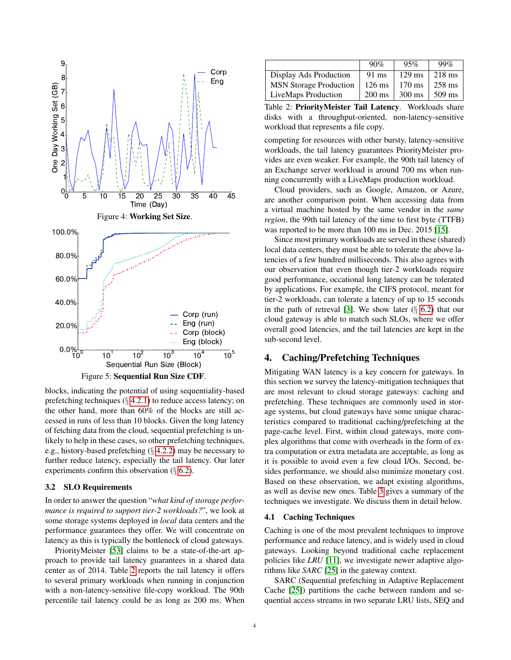<span id="page-3-0"></span>

<span id="page-3-1"></span>blocks, indicating the potential of using sequentiality-based prefetching techniques  $(\S 4.2.1)$  $(\S 4.2.1)$  to reduce access latency; on the other hand, more than 60% of the blocks are still accessed in runs of less than 10 blocks. Given the long latency of fetching data from the cloud, sequential prefetching is unlikely to help in these cases, so other prefetching techniques, e.g., history-based prefetching (§ [4.2.2\)](#page-4-1) may be necessary to further reduce latency, especially the tail latency. Our later experiments confirm this observation (§ [6.2\)](#page-8-0).

#### <span id="page-3-3"></span>3.2 SLO Requirements

In order to answer the question "*what kind of storage performance is required to support tier-2 workloads?*", we look at some storage systems deployed in *local* data centers and the performance guarantees they offer. We will concentrate on latency as this is typically the bottleneck of cloud gateways.

PriorityMeister [\[53\]](#page-14-8) claims to be a state-of-the-art approach to provide tail latency guarantees in a shared data center as of 2014. Table [2](#page-3-2) reports the tail latency it offers to several primary workloads when running in conjunction with a non-latency-sensitive file-copy workload. The 90th percentile tail latency could be as long as 200 ms. When

<span id="page-3-2"></span>

|                               | 90%              | 95%              | 99%      |
|-------------------------------|------------------|------------------|----------|
| Display Ads Production        | $91$ ms          | $129 \text{ ms}$ | $218$ ms |
| <b>MSN Storage Production</b> | $126 \text{ ms}$ | $170 \text{ ms}$ | 258 ms   |
| LiveMaps Production           | $200 \text{ ms}$ | $300 \text{ ms}$ | $509$ ms |

Table 2: PriorityMeister Tail Latency. Workloads share disks with a throughput-oriented, non-latency-sensitive workload that represents a file copy.

competing for resources with other bursty, latency-sensitive workloads, the tail latency guarantees PriorityMeister provides are even weaker. For example, the 90th tail latency of an Exchange server workload is around 700 ms when running concurrently with a LiveMaps production workload.

Cloud providers, such as Google, Amazon, or Azure, are another comparison point. When accessing data from a virtual machine hosted by the same vendor in the *same region*, the 99th tail latency of the time to first byte (TTFB) was reported to be more than 100 ms in Dec. 2015 [\[15\]](#page-13-11).

Since most primary workloads are served in these (shared) local data centers, they must be able to tolerate the above latencies of a few hundred milliseconds. This also agrees with our observation that even though tier-2 workloads require good performance, occational long latency can be tolerated by applications. For example, the CIFS protocol, meant for tier-2 workloads, can tolerate a latency of up to 15 seconds in the path of retreval [\[3\]](#page-13-12). We show later  $(\S$  [6.2\)](#page-8-0) that our cloud gateway is able to match such SLOs, where we offer overall good latencies, and the tail latencies are kept in the sub-second level.

# <span id="page-3-4"></span>4. Caching/Prefetching Techniques

Mitigating WAN latency is a key concern for gateways. In this section we survey the latency-mitigation techniques that are most relevant to cloud storage gateways: caching and prefetching. These techniques are commonly used in storage systems, but cloud gateways have some unique characteristics compared to traditional caching/prefetching at the page-cache level. First, within cloud gateways, more complex algorithms that come with overheads in the form of extra computation or extra metadata are acceptable, as long as it is possible to avoid even a few cloud I/Os. Second, besides performance, we should also minimize monetary cost. Based on these observation, we adapt existing algorithms, as well as devise new ones. Table [3](#page-4-2) gives a summary of the techniques we investigate. We discuss them in detail below.

## 4.1 Caching Techniques

Caching is one of the most prevalent techniques to improve performance and reduce latency, and is widely used in cloud gateways. Looking beyond traditional cache replacement policies like *LRU* [\[11\]](#page-13-13), we investigate newer adaptive algorithms like *SARC* [\[25\]](#page-13-14) in the gateway context.

SARC (Sequential prefetching in Adaptive Replacement Cache [\[25\]](#page-13-14)) partitions the cache between random and sequential access streams in two separate LRU lists, SEQ and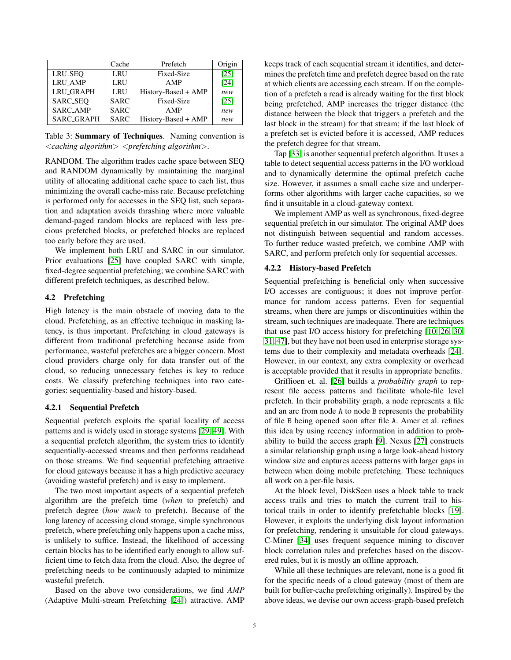<span id="page-4-2"></span>

|                   | Cache       | Prefetch            | Origin |
|-------------------|-------------|---------------------|--------|
| <b>LRU_SEO</b>    | <b>LRU</b>  | Fixed-Size          | [25]   |
| <b>LRU AMP</b>    | <b>LRU</b>  | AMP                 | [24]   |
| LRU_GRAPH         | LRU         | History-Based + AMP | new    |
| SARC_SEO          | <b>SARC</b> | Fixed-Size          | [25]   |
| SARC_AMP          | <b>SARC</b> | AMP                 | new    |
| <b>SARC_GRAPH</b> | <b>SARC</b> | History-Based + AMP | new    |

Table 3: Summary of Techniques. Naming convention is <*caching algorithm*> <*prefetching algorithm*>.

RANDOM. The algorithm trades cache space between SEQ and RANDOM dynamically by maintaining the marginal utility of allocating additional cache space to each list, thus minimizing the overall cache-miss rate. Because prefetching is performed only for accesses in the SEQ list, such separation and adaptation avoids thrashing where more valuable demand-paged random blocks are replaced with less precious prefetched blocks, or prefetched blocks are replaced too early before they are used.

We implement both LRU and SARC in our simulator. Prior evaluations [\[25\]](#page-13-14) have coupled SARC with simple, fixed-degree sequential prefetching; we combine SARC with different prefetch techniques, as described below.

## 4.2 Prefetching

High latency is the main obstacle of moving data to the cloud. Prefetching, as an effective technique in masking latency, is thus important. Prefetching in cloud gateways is different from traditional prefetching because aside from performance, wasteful prefetches are a bigger concern. Most cloud providers charge only for data transfer out of the cloud, so reducing unnecessary fetches is key to reduce costs. We classify prefetching techniques into two categories: sequentiality-based and history-based.

#### <span id="page-4-0"></span>4.2.1 Sequential Prefetch

Sequential prefetch exploits the spatial locality of access patterns and is widely used in storage systems [\[29,](#page-13-16) [49\]](#page-14-9). With a sequential prefetch algorithm, the system tries to identify sequentially-accessed streams and then performs readahead on those streams. We find sequential prefetching attractive for cloud gateways because it has a high predictive accuracy (avoiding wasteful prefetch) and is easy to implement.

The two most important aspects of a sequential prefetch algorithm are the prefetch time (*when* to prefetch) and prefetch degree (*how much* to prefetch). Because of the long latency of accessing cloud storage, simple synchronous prefetch, where prefetching only happens upon a cache miss, is unlikely to suffice. Instead, the likelihood of accessing certain blocks has to be identified early enough to allow sufficient time to fetch data from the cloud. Also, the degree of prefetching needs to be continuously adapted to minimize wasteful prefetch.

Based on the above two considerations, we find *AMP* (Adaptive Multi-stream Prefetching [\[24\]](#page-13-15)) attractive. AMP keeps track of each sequential stream it identifies, and determines the prefetch time and prefetch degree based on the rate at which clients are accessing each stream. If on the completion of a prefetch a read is already waiting for the first block being prefetched, AMP increases the trigger distance (the distance between the block that triggers a prefetch and the last block in the stream) for that stream; if the last block of a prefetch set is evicted before it is accessed, AMP reduces the prefetch degree for that stream.

Tap [\[33\]](#page-14-10) is another sequential prefetch algorithm. It uses a table to detect sequential access patterns in the I/O workload and to dynamically determine the optimal prefetch cache size. However, it assumes a small cache size and underperforms other algorithms with larger cache capacities, so we find it unsuitable in a cloud-gateway context.

We implement AMP as well as synchronous, fixed-degree sequential prefetch in our simulator. The original AMP does not distinguish between sequential and random accesses. To further reduce wasted prefetch, we combine AMP with SARC, and perform prefetch only for sequential accesses.

## <span id="page-4-1"></span>4.2.2 History-based Prefetch

Sequential prefetching is beneficial only when successive I/O accesses are contiguous; it does not improve performance for random access patterns. Even for sequential streams, when there are jumps or discontinuities within the stream, such techniques are inadequate. There are techniques that use past I/O access history for prefetching [\[10,](#page-13-17) [26,](#page-13-18) [30,](#page-13-19) [31,](#page-13-20) [47\]](#page-14-11), but they have not been used in enterprise storage systems due to their complexity and metadata overheads [\[24\]](#page-13-15). However, in our context, any extra complexity or overhead is acceptable provided that it results in appropriate benefits.

Griffioen et. al. [\[26\]](#page-13-18) builds a *probability graph* to represent file access patterns and facilitate whole-file level prefetch. In their probability graph, a node represents a file and an arc from node A to node B represents the probability of file B being opened soon after file A. Amer et al. refines this idea by using recency information in addition to probability to build the access graph [\[9\]](#page-13-21). Nexus [\[27\]](#page-13-22) constructs a similar relationship graph using a large look-ahead history window size and captures access patterns with larger gaps in between when doing mobile prefetching. These techniques all work on a per-file basis.

At the block level, DiskSeen uses a block table to track access trails and tries to match the current trail to historical trails in order to identify prefetchable blocks [\[19\]](#page-13-23). However, it exploits the underlying disk layout information for prefetching, rendering it unsuitable for cloud gateways. C-Miner [\[34\]](#page-14-12) uses frequent sequence mining to discover block correlation rules and prefetches based on the discovered rules, but it is mostly an offline approach.

While all these techniques are relevant, none is a good fit for the specific needs of a cloud gateway (most of them are built for buffer-cache prefetching originally). Inspired by the above ideas, we devise our own access-graph-based prefetch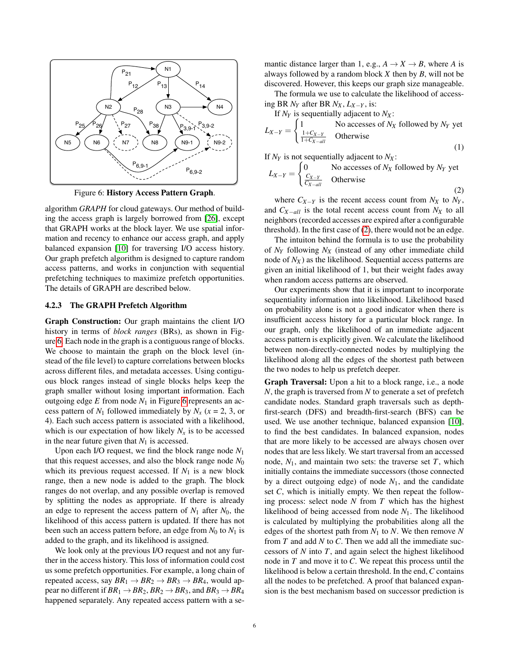<span id="page-5-0"></span>

Figure 6: History Access Pattern Graph.

algorithm *GRAPH* for cloud gateways. Our method of building the access graph is largely borrowed from [\[26\]](#page-13-18), except that GRAPH works at the block layer. We use spatial information and recency to enhance our access graph, and apply balanced expansion [\[10\]](#page-13-17) for traversing I/O access history. Our graph prefetch algorithm is designed to capture random access patterns, and works in conjunction with sequential prefetching techniques to maximize prefetch opportunities. The details of GRAPH are described below.

#### 4.2.3 The GRAPH Prefetch Algorithm

Graph Construction: Our graph maintains the client I/O history in terms of *block ranges* (BRs), as shown in Figure [6.](#page-5-0) Each node in the graph is a contiguous range of blocks. We choose to maintain the graph on the block level (instead of the file level) to capture correlations between blocks across different files, and metadata accesses. Using contiguous block ranges instead of single blocks helps keep the graph smaller without losing important information. Each outgoing edge  $E$  from node  $N_1$  in Figure [6](#page-5-0) represents an access pattern of  $N_1$  followed immediately by  $N_x$  ( $x = 2, 3$ , or 4). Each such access pattern is associated with a likelihood, which is our expectation of how likely  $N_x$  is to be accessed in the near future given that  $N_1$  is accessed.

Upon each I/O request, we find the block range node *N*<sup>1</sup> that this request accesses, and also the block range node  $N_0$ which its previous request accessed. If  $N_1$  is a new block range, then a new node is added to the graph. The block ranges do not overlap, and any possible overlap is removed by splitting the nodes as appropriate. If there is already an edge to represent the access pattern of  $N_1$  after  $N_0$ , the likelihood of this access pattern is updated. If there has not been such an access pattern before, an edge from  $N_0$  to  $N_1$  is added to the graph, and its likelihood is assigned.

We look only at the previous I/O request and not any further in the access history. This loss of information could cost us some prefetch opportunities. For example, a long chain of repeated access, say  $BR_1 \rightarrow BR_2 \rightarrow BR_3 \rightarrow BR_4$ , would appear no different if  $BR_1 \rightarrow BR_2$ ,  $BR_2 \rightarrow BR_3$ , and  $BR_3 \rightarrow BR_4$ happened separately. Any repeated access pattern with a semantic distance larger than 1, e.g.,  $A \rightarrow X \rightarrow B$ , where *A* is always followed by a random block *X* then by *B*, will not be discovered. However, this keeps our graph size manageable.

The formula we use to calculate the likelihood of accessing BR  $N_Y$  after BR  $N_X$ ,  $L_{X-Y}$ , is:

If  $N_Y$  is sequentially adjacent to  $N_X$ :

$$
L_{X-Y} = \begin{cases} 1 & \text{No accesses of } N_X \text{ followed by } N_Y \text{ yet} \\ \frac{1+C_{X-Y}}{1+C_{X-all}} & \text{Otherwise} \end{cases}
$$
(1)

If  $N_Y$  is not sequentially adjacent to  $N_X$ :

<span id="page-5-1"></span>
$$
L_{X-Y} = \begin{cases} 0 & \text{No accesses of } N_X \text{ followed by } N_Y \text{ yet} \\ \frac{C_{X-Y}}{C_{X-all}} & \text{Otherwise} \end{cases}
$$
 (2)

where  $C_{X-Y}$  is the recent access count from  $N_X$  to  $N_Y$ , and *CX*−*all* is the total recent access count from *N<sup>X</sup>* to all neighbors (recorded accesses are expired after a configurable threshold). In the first case of [\(2\)](#page-5-1), there would not be an edge.

The intuiton behind the formula is to use the probability of *N<sup>Y</sup>* following *N<sup>X</sup>* (instead of any other immediate child node of *N<sup>X</sup>* ) as the likelihood. Sequential access patterns are given an initial likelihood of 1, but their weight fades away when random access patterns are observed.

Our experiments show that it is important to incorporate sequentiality information into likelihood. Likelihood based on probability alone is not a good indicator when there is insufficient access history for a particular block range. In our graph, only the likelihood of an immediate adjacent access pattern is explicitly given. We calculate the likelihood between non-directly-connected nodes by multiplying the likelihood along all the edges of the shortest path between the two nodes to help us prefetch deeper.

Graph Traversal: Upon a hit to a block range, i.e., a node *N*, the graph is traversed from *N* to generate a set of prefetch candidate nodes. Standard graph traversals such as depthfirst-search (DFS) and breadth-first-search (BFS) can be used. We use another technique, balanced expansion [\[10\]](#page-13-17), to find the best candidates. In balanced expansion, nodes that are more likely to be accessed are always chosen over nodes that are less likely. We start traversal from an accessed node,  $N_1$ , and maintain two sets: the traverse set  $T$ , which initially contains the immediate successors (those connected by a direct outgoing edge) of node *N*1, and the candidate set *C*, which is initially empty. We then repeat the following process: select node *N* from *T* which has the highest likelihood of being accessed from node  $N_1$ . The likelihood is calculated by multiplying the probabilities along all the edges of the shortest path from  $N_1$  to  $N$ . We then remove  $N$ from *T* and add *N* to *C*. Then we add all the immediate successors of *N* into *T*, and again select the highest likelihood node in *T* and move it to *C*. We repeat this process until the likelihood is below a certain threshold. In the end,*C* contains all the nodes to be prefetched. A proof that balanced expansion is the best mechanism based on successor prediction is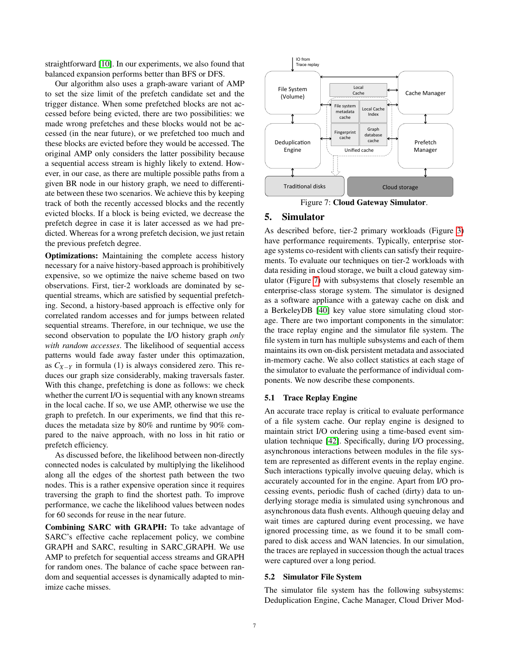straightforward [\[10\]](#page-13-17). In our experiments, we also found that balanced expansion performs better than BFS or DFS.

Our algorithm also uses a graph-aware variant of AMP to set the size limit of the prefetch candidate set and the trigger distance. When some prefetched blocks are not accessed before being evicted, there are two possibilities: we made wrong prefetches and these blocks would not be accessed (in the near future), or we prefetched too much and these blocks are evicted before they would be accessed. The original AMP only considers the latter possibility because a sequential access stream is highly likely to extend. However, in our case, as there are multiple possible paths from a given BR node in our history graph, we need to differentiate between these two scenarios. We achieve this by keeping track of both the recently accessed blocks and the recently evicted blocks. If a block is being evicted, we decrease the prefetch degree in case it is later accessed as we had predicted. Whereas for a wrong prefetch decision, we just retain the previous prefetch degree.

Optimizations: Maintaining the complete access history necessary for a naive history-based approach is prohibitively expensive, so we optimize the naive scheme based on two observations. First, tier-2 workloads are dominated by sequential streams, which are satisfied by sequential prefetching. Second, a history-based approach is effective only for correlated random accesses and for jumps between related sequential streams. Therefore, in our technique, we use the second observation to populate the I/O history graph *only with random accesses*. The likelihood of sequential access patterns would fade away faster under this optimazation, as *CX*−*<sup>Y</sup>* in formula (1) is always considered zero. This reduces our graph size considerably, making traversals faster. With this change, prefetching is done as follows: we check whether the current I/O is sequential with any known streams in the local cache. If so, we use AMP, otherwise we use the graph to prefetch. In our experiments, we find that this reduces the metadata size by 80% and runtime by 90% compared to the naive approach, with no loss in hit ratio or prefetch efficiency.

As discussed before, the likelihood between non-directly connected nodes is calculated by multiplying the likelihood along all the edges of the shortest path between the two nodes. This is a rather expensive operation since it requires traversing the graph to find the shortest path. To improve performance, we cache the likelihood values between nodes for 60 seconds for reuse in the near future.

Combining SARC with GRAPH: To take advantage of SARC's effective cache replacement policy, we combine GRAPH and SARC, resulting in SARC GRAPH. We use AMP to prefetch for sequential access streams and GRAPH for random ones. The balance of cache space between random and sequential accesses is dynamically adapted to minimize cache misses.

<span id="page-6-1"></span>

Figure 7: Cloud Gateway Simulator.

# 5. Simulator

As described before, tier-2 primary workloads (Figure [3\)](#page-2-1) have performance requirements. Typically, enterprise storage systems co-resident with clients can satisfy their requirements. To evaluate our techniques on tier-2 workloads with data residing in cloud storage, we built a cloud gateway simulator (Figure [7\)](#page-6-1) with subsystems that closely resemble an enterprise-class storage system. The simulator is designed as a software appliance with a gateway cache on disk and a BerkeleyDB [\[40\]](#page-14-13) key value store simulating cloud storage. There are two important components in the simulator: the trace replay engine and the simulator file system. The file system in turn has multiple subsystems and each of them maintains its own on-disk persistent metadata and associated in-memory cache. We also collect statistics at each stage of the simulator to evaluate the performance of individual components. We now describe these components.

# 5.1 Trace Replay Engine

An accurate trace replay is critical to evaluate performance of a file system cache. Our replay engine is designed to maintain strict I/O ordering using a time-based event simulation technique [\[42\]](#page-14-14). Specifically, during I/O processing, asynchronous interactions between modules in the file system are represented as different events in the replay engine. Such interactions typically involve queuing delay, which is accurately accounted for in the engine. Apart from I/O processing events, periodic flush of cached (dirty) data to underlying storage media is simulated using synchronous and asynchronous data flush events. Although queuing delay and wait times are captured during event processing, we have ignored processing time, as we found it to be small compared to disk access and WAN latencies. In our simulation, the traces are replayed in succession though the actual traces were captured over a long period.

## <span id="page-6-0"></span>5.2 Simulator File System

The simulator file system has the following subsystems: Deduplication Engine, Cache Manager, Cloud Driver Mod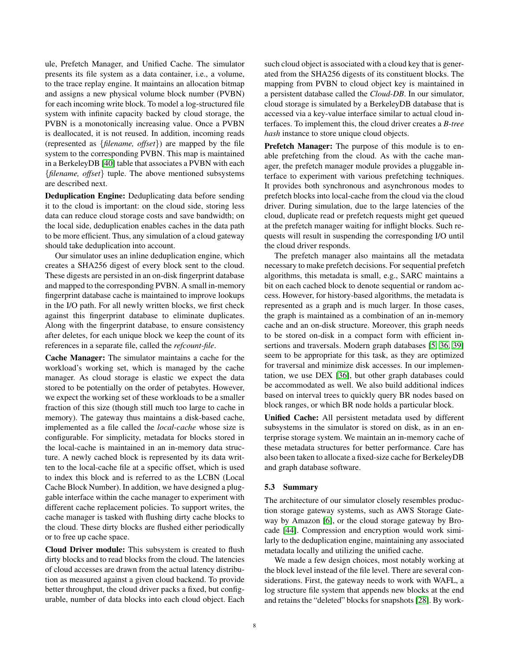ule, Prefetch Manager, and Unified Cache. The simulator presents its file system as a data container, i.e., a volume, to the trace replay engine. It maintains an allocation bitmap and assigns a new physical volume block number (PVBN) for each incoming write block. To model a log-structured file system with infinite capacity backed by cloud storage, the PVBN is a monotonically increasing value. Once a PVBN is deallocated, it is not reused. In addition, incoming reads (represented as {*filename, offset*}) are mapped by the file system to the corresponding PVBN. This map is maintained in a BerkeleyDB [\[40\]](#page-14-13) table that associates a PVBN with each {*filename, offset*} tuple. The above mentioned subsystems are described next.

Deduplication Engine: Deduplicating data before sending it to the cloud is important: on the cloud side, storing less data can reduce cloud storage costs and save bandwidth; on the local side, deduplication enables caches in the data path to be more efficient. Thus, any simulation of a cloud gateway should take deduplication into account.

Our simulator uses an inline deduplication engine, which creates a SHA256 digest of every block sent to the cloud. These digests are persisted in an on-disk fingerprint database and mapped to the corresponding PVBN. A small in-memory fingerprint database cache is maintained to improve lookups in the I/O path. For all newly written blocks, we first check against this fingerprint database to eliminate duplicates. Along with the fingerprint database, to ensure consistency after deletes, for each unique block we keep the count of its references in a separate file, called the *refcount-file*.

Cache Manager: The simulator maintains a cache for the workload's working set, which is managed by the cache manager. As cloud storage is elastic we expect the data stored to be potentially on the order of petabytes. However, we expect the working set of these workloads to be a smaller fraction of this size (though still much too large to cache in memory). The gateway thus maintains a disk-based cache, implemented as a file called the *local-cache* whose size is configurable. For simplicity, metadata for blocks stored in the local-cache is maintained in an in-memory data structure. A newly cached block is represented by its data written to the local-cache file at a specific offset, which is used to index this block and is referred to as the LCBN (Local Cache Block Number). In addition, we have designed a pluggable interface within the cache manager to experiment with different cache replacement policies. To support writes, the cache manager is tasked with flushing dirty cache blocks to the cloud. These dirty blocks are flushed either periodically or to free up cache space.

Cloud Driver module: This subsystem is created to flush dirty blocks and to read blocks from the cloud. The latencies of cloud accesses are drawn from the actual latency distribution as measured against a given cloud backend. To provide better throughput, the cloud driver packs a fixed, but configurable, number of data blocks into each cloud object. Each

such cloud object is associated with a cloud key that is generated from the SHA256 digests of its constituent blocks. The mapping from PVBN to cloud object key is maintained in a persistent database called the *Cloud-DB*. In our simulator, cloud storage is simulated by a BerkeleyDB database that is accessed via a key-value interface similar to actual cloud interfaces. To implement this, the cloud driver creates a *B-tree hash* instance to store unique cloud objects.

Prefetch Manager: The purpose of this module is to enable prefetching from the cloud. As with the cache manager, the prefetch manager module provides a pluggable interface to experiment with various prefetching techniques. It provides both synchronous and asynchronous modes to prefetch blocks into local-cache from the cloud via the cloud driver. During simulation, due to the large latencies of the cloud, duplicate read or prefetch requests might get queued at the prefetch manager waiting for inflight blocks. Such requests will result in suspending the corresponding I/O until the cloud driver responds.

The prefetch manager also maintains all the metadata necessary to make prefetch decisions. For sequential prefetch algorithms, this metadata is small, e.g., SARC maintains a bit on each cached block to denote sequential or random access. However, for history-based algorithms, the metadata is represented as a graph and is much larger. In those cases, the graph is maintained as a combination of an in-memory cache and an on-disk structure. Moreover, this graph needs to be stored on-disk in a compact form with efficient insertions and traversals. Modern graph databases [\[5,](#page-13-24) [36,](#page-14-15) [39\]](#page-14-16) seem to be appropriate for this task, as they are optimized for traversal and minimize disk accesses. In our implementation, we use DEX [\[36\]](#page-14-15), but other graph databases could be accommodated as well. We also build additional indices based on interval trees to quickly query BR nodes based on block ranges, or which BR node holds a particular block.

Unified Cache: All persistent metadata used by different subsystems in the simulator is stored on disk, as in an enterprise storage system. We maintain an in-memory cache of these metadata structures for better performance. Care has also been taken to allocate a fixed-size cache for BerkeleyDB and graph database software.

#### 5.3 Summary

The architecture of our simulator closely resembles production storage gateway systems, such as AWS Storage Gateway by Amazon [\[6\]](#page-13-25), or the cloud storage gateway by Brocade [\[44\]](#page-14-17). Compression and encryption would work similarly to the deduplication engine, maintaining any associated metadata locally and utilizing the unified cache.

We made a few design choices, most notably working at the block level instead of the file level. There are several considerations. First, the gateway needs to work with WAFL, a log structure file system that appends new blocks at the end and retains the "deleted" blocks for snapshots [\[28\]](#page-13-26). By work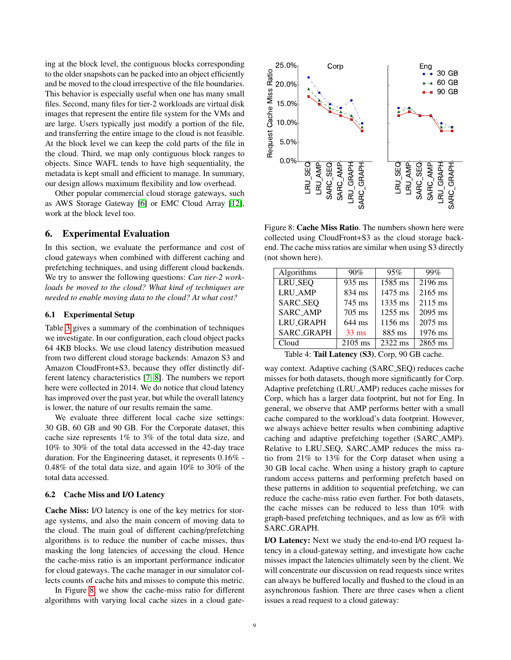ing at the block level, the contiguous blocks corresponding to the older snapshots can be packed into an object efficiently and be moved to the cloud irrespective of the file boundaries. This behavior is especially useful when one has many small files. Second, many files for tier-2 workloads are virtual disk images that represent the entire file system for the VMs and are large. Users typically just modify a portion of the file, and transferring the entire image to the cloud is not feasible. At the block level we can keep the cold parts of the file in the cloud. Third, we map only contiguous block ranges to objects. Since WAFL tends to have high sequentiality, the metadata is kept small and efficient to manage. In summary, our design allows maximum flexibility and low overhead.

Other popular commercial cloud storage gateways, such as AWS Storage Gateway [\[6\]](#page-13-25) or EMC Cloud Array [\[12\]](#page-13-27), work at the block level too.

# 6. Experimental Evaluation

In this section, we evaluate the performance and cost of cloud gateways when combined with different caching and prefetching techniques, and using different cloud backends. We try to answer the following questions: *Can tier-2 workloads be moved to the cloud? What kind of techniques are needed to enable moving data to the cloud? At what cost?*

# 6.1 Experimental Setup

Table [3](#page-4-2) gives a summary of the combination of techniques we investigate. In our configuration, each cloud object packs 64 4KB blocks. We use cloud latency distribution measued from two different cloud storage backends: Amazon S3 and Amazon CloudFront+S3, because they offer distinctly different latency characteristics [\[7,](#page-13-7) [8\]](#page-13-8). The numbers we report here were collected in 2014. We do notice that cloud latency has improved over the past year, but while the overall latency is lower, the nature of our results remain the same.

We evaluate three different local cache size settings: 30 GB, 60 GB and 90 GB. For the Corporate dataset, this cache size represents 1% to 3% of the total data size, and 10% to 30% of the total data accessed in the 42-day trace duration. For the Engineering dataset, it represents 0.16% - 0.48% of the total data size, and again 10% to 30% of the total data accessed.

# <span id="page-8-0"></span>6.2 Cache Miss and I/O Latency

Cache Miss: I/O latency is one of the key metrics for storage systems, and also the main concern of moving data to the cloud. The main goal of different caching/prefetching algorithms is to reduce the number of cache misses, thus masking the long latencies of accessing the cloud. Hence the cache-miss ratio is an important performance indicator for cloud gateways. The cache manager in our simulator collects counts of cache hits and misses to compute this metric.

In Figure [8,](#page-8-1) we show the cache-miss ratio for different

<span id="page-8-1"></span>

Figure 8: Cache Miss Ratio. The numbers shown here were collected using CloudFront+S3 as the cloud storage backend. The cache miss ratios are similar when using S3 directly (not shown here).

<span id="page-8-2"></span>

| Algorithms          | 90%             | 95%       | 99%                  |
|---------------------|-----------------|-----------|----------------------|
| LRU <sub>-SEQ</sub> | $935$ ms        | 1585 ms   | $\overline{2196}$ ms |
| <b>LRU AMP</b>      | 834 ms          | $1475$ ms | 2165 ms              |
| SARC_SEQ            | 745 ms          | $1335$ ms | 2115 ms              |
| <b>SARC AMP</b>     | 705 ms          | $1255$ ms | $2095$ ms            |
| <b>LRU GRAPH</b>    | 644 ms          | 1156 ms   | $2075$ ms            |
| <b>SARC_GRAPH</b>   | $33 \text{ ms}$ | 885 ms    | 1976 ms              |
| Cloud               | $2105$ ms       | 2322 ms   | 2865 ms              |
|                     |                 |           |                      |

Table 4: Tail Latency (S3), Corp, 90 GB cache.

operates in a cloud of the size of the size of the size of the size of the size of the sizes in a cloud gate-based above the sizes in a cloud gate-<br>and additional content cached since gate-ways, such that the size of the way context. Adaptive caching (SARC SEQ) reduces cache misses for both datasets, though more significantly for Corp. Adaptive prefetching (LRU AMP) reduces cache misses for Corp, which has a larger data footprint, but not for Eng. In general, we observe that AMP performs better with a small cache compared to the workload's data footprint. However, we always achieve better results when combining adaptive caching and adaptive prefetching together (SARC AMP). Relative to LRU SEQ, SARC AMP reduces the miss ratio from 21% to 13% for the Corp dataset when using a 30 GB local cache. When using a history graph to capture random access patterns and performing prefetch based on these patterns in addition to sequential prefetching, we can reduce the cache-miss ratio even further. For both datasets, the cache misses can be reduced to less than 10% with graph-based prefetching techniques, and as low as 6% with SARC GRAPH.

I/O Latency: Next we study the end-to-end I/O request latency in a cloud-gateway setting, and investigate how cache misses impact the latencies ultimately seen by the client. We will concentrate our discussion on read requests since writes can always be buffered locally and flushed to the cloud in an asynchronous fashion. There are three cases when a client issues a read request to a cloud gateway: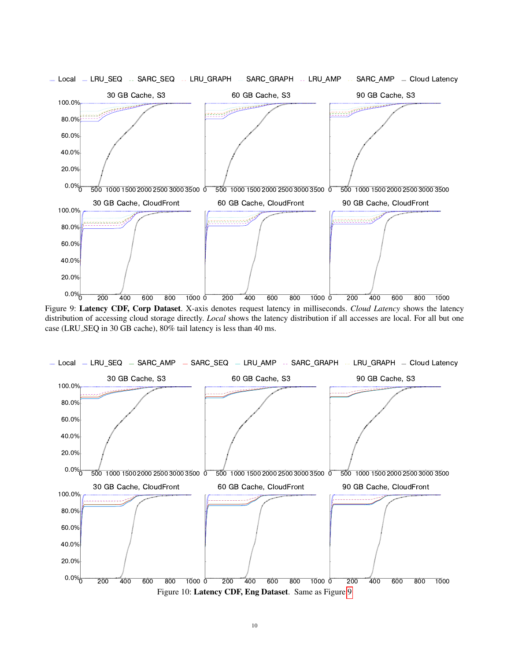

<span id="page-9-0"></span>Local - LRU SEQ .. SARC SEQ ... LRU GRAPH LSARC GRAPH L. LRU AMP ... SARC AMP L. Cloud Latency

Figure 9: Latency CDF, Corp Dataset. X-axis denotes request latency in milliseconds. *Cloud Latency* shows the latency distribution of accessing cloud storage directly. *Local* shows the latency distribution if all accesses are local. For all but one case (LRU SEQ in 30 GB cache), 80% tail latency is less than 40 ms.

<span id="page-9-1"></span>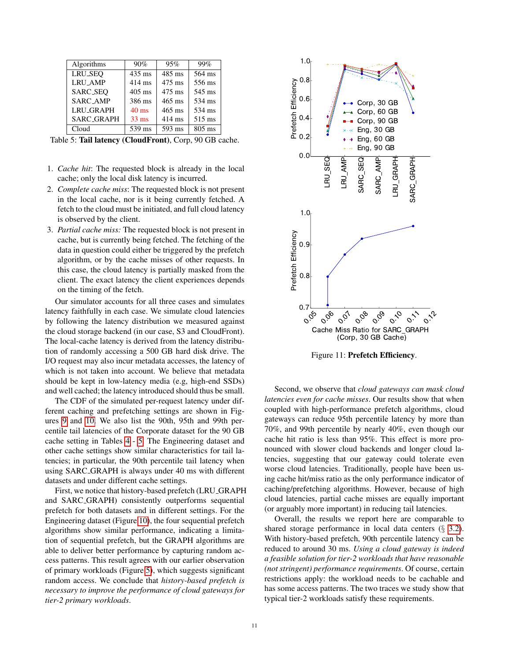<span id="page-10-1"></span>

| Algorithms        | 90%             | 95%      | 99%      |
|-------------------|-----------------|----------|----------|
| <b>LRU_SEO</b>    | $435$ ms        | 485 ms   | 564 ms   |
| <b>LRU AMP</b>    | 414 ms          | 475 ms   | 556 ms   |
| SARC_SEO          | $405$ ms        | 475 ms   | 545 ms   |
| <b>SARC AMP</b>   | 386 ms          | $465$ ms | 534 ms   |
| <b>LRU_GRAPH</b>  | $40$ ms         | $465$ ms | 534 ms   |
| <b>SARC_GRAPH</b> | $33 \text{ ms}$ | 414 ms   | 515 ms   |
| Cloud             | 539 ms          | 593 ms   | $805$ ms |

Table 5: Tail latency (CloudFront), Corp, 90 GB cache.

- 1. *Cache hit*: The requested block is already in the local cache; only the local disk latency is incurred.
- 2. *Complete cache miss*: The requested block is not present in the local cache, nor is it being currently fetched. A fetch to the cloud must be initiated, and full cloud latency is observed by the client.
- 3. *Partial cache miss:* The requested block is not present in cache, but is currently being fetched. The fetching of the data in question could either be triggered by the prefetch algorithm, or by the cache misses of other requests. In this case, the cloud latency is partially masked from the client. The exact latency the client experiences depends on the timing of the fetch.

Our simulator accounts for all three cases and simulates latency faithfully in each case. We simulate cloud latencies by following the latency distribution we measured against the cloud storage backend (in our case, S3 and CloudFront). The local-cache latency is derived from the latency distribution of randomly accessing a 500 GB hard disk drive. The I/O request may also incur metadata accesses, the latency of which is not taken into account. We believe that metadata should be kept in low-latency media (e.g, high-end SSDs) and well cached; the latency introduced should thus be small.

The CDF of the simulated per-request latency under different caching and prefetching settings are shown in Figures [9](#page-9-0) and [10.](#page-9-1) We also list the 90th, 95th and 99th percentile tail latencies of the Corporate dataset for the 90 GB cache setting in Tables [4](#page-8-2) - [5.](#page-10-1) The Engineering dataset and other cache settings show similar characteristics for tail latencies; in particular, the 90th percentile tail latency when using SARC GRAPH is always under 40 ms with different datasets and under different cache settings.

First, we notice that history-based prefetch (LRU GRAPH and SARC GRAPH) consistently outperforms sequential prefetch for both datasets and in different settings. For the Engineering dataset (Figure [10\)](#page-9-1), the four sequential prefetch algorithms show similar performance, indicating a limitation of sequential prefetch, but the GRAPH algorithms are able to deliver better performance by capturing random access patterns. This result agrees with our earlier observation of primary workloads (Figure [5\)](#page-3-1), which suggests significant random access. We conclude that *history-based prefetch is necessary to improve the performance of cloud gateways for* 1. Cache hit: The requested block is already in the local<br>
calle, the local dashed hatency is insurred.<br>
2. Complete cache miss: The requested block is not present<br>
2. Complete cache miss: The requested block is not prese

<span id="page-10-2"></span>

Figure 11: Prefetch Efficiency.

Second, we observe that *cloud gateways can mask cloud latencies even for cache misses*. Our results show that when coupled with high-performance prefetch algorithms, cloud gateways can reduce 95th percentile latency by more than 70%, and 99th percentile by nearly 40%, even though our cache hit ratio is less than 95%. This effect is more pronounced with slower cloud backends and longer cloud latencies, suggesting that our gateway could tolerate even worse cloud latencies. Traditionally, people have been using cache hit/miss ratio as the only performance indicator of caching/prefetching algorithms. However, because of high cloud latencies, partial cache misses are equally important (or arguably more important) in reducing tail latencies.

<span id="page-10-0"></span>Overall, the results we report here are comparable to shared storage performance in local data centers (§ [3.2\)](#page-3-3). With history-based prefetch, 90th percentile latency can be reduced to around 30 ms. *Using a cloud gateway is indeed a feasible solution for tier-2 workloads that have reasonable (not stringent) performance requirements*. Of course, certain restrictions apply: the workload needs to be cachable and has some access patterns. The two traces we study show that typical tier-2 workloads satisfy these requirements.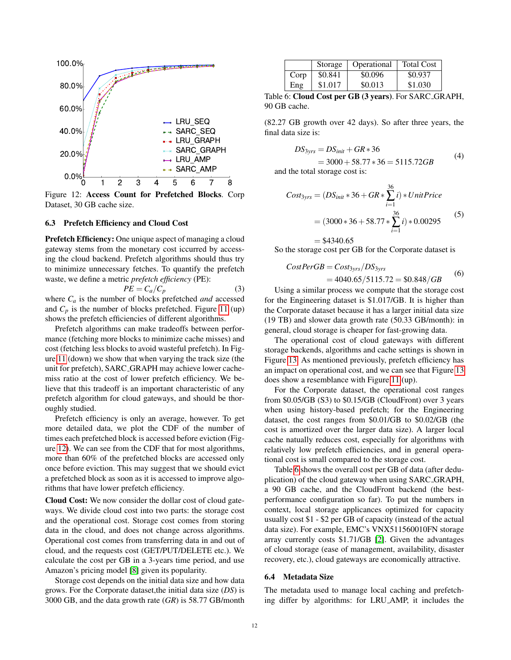<span id="page-11-0"></span>

Figure 12: Access Count for Prefetched Blocks. Corp Dataset, 30 GB cache size.

## 6.3 Prefetch Efficiency and Cloud Cost

**Prefetch Efficiency:** One unique aspect of managing a cloud gateway stems from the monetary cost iccurred by accessing the cloud backend. Prefetch algorithms should thus try to minimize unnecessary fetches. To quantify the prefetch waste, we define a metric *prefetch efficiency* (PE):

$$
PE = C_a / C_p \tag{3}
$$

where  $C_a$  is the number of blocks prefetched *and* accessed and  $C_p$  is the number of blocks prefetched. Figure [11](#page-10-2) (up) shows the prefetch efficiencies of different algorithms.

Prefetch algorithms can make tradeoffs between performance (fetching more blocks to minimize cache misses) and cost (fetching less blocks to avoid wasteful prefetch). In Figure [11](#page-10-2) (down) we show that when varying the track size (the unit for prefetch), SARC GRAPH may achieve lower cachemiss ratio at the cost of lower prefetch efficiency. We believe that this tradeoff is an important characteristic of any prefetch algorithm for cloud gateways, and should be thoroughly studied.

Prefetch efficiency is only an average, however. To get more detailed data, we plot the CDF of the number of times each prefetched block is accessed before eviction (Figure [12\)](#page-11-0). We can see from the CDF that for most algorithms, more than 60% of the prefetched blocks are accessed only once before eviction. This may suggest that we should evict a prefetched block as soon as it is accessed to improve algorithms that have lower prefetch efficiency.

Cloud Cost: We now consider the dollar cost of cloud gateways. We divide cloud cost into two parts: the storage cost and the operational cost. Storage cost comes from storing data in the cloud, and does not change across algorithms. Operational cost comes from transferring data in and out of cloud, and the requests cost (GET/PUT/DELETE etc.). We calculate the cost per GB in a 3-years time period, and use Amazon's pricing model [\[8\]](#page-13-8) given its popularity.

Storage cost depends on the initial data size and how data grows. For the Corporate dataset,the initial data size (*DS*) is 3000 GB, and the data growth rate (*GR*) is 58.77 GB/month

<span id="page-11-1"></span>

|      | Storage | Operational | <b>Total Cost</b> |
|------|---------|-------------|-------------------|
| Corp | \$0.841 | \$0.096     | \$0.937           |
| Eng  | \$1.017 | \$0.013     | \$1.030           |

Table 6: Cloud Cost per GB (3 years). For SARC GRAPH, 90 GB cache.

(82.27 GB growth over 42 days). So after three years, the final data size is:

$$
DS_{3yrs} = DS_{init} + GR * 36
$$
  
= 3000 + 58.77 \* 36 = 5115.72GB (4)

and the total storage cost is:

$$
Cost_{3yrs} = (DS_{init} * 36 + GR * \sum_{i=1}^{36} i) * UnitPrice
$$
  
= (3000 \* 36 + 58.77 \*  $\sum_{i=1}^{36} i$ ) \* 0.00295 (5)

 $=$  \$4340.65

So the storage cost per GB for the Corporate dataset is

$$
CostPerGB = Cost_{3yrs} / DS_{3yrs}
$$
  
= 4040.65/5115.72 = \$0.848/GB (6)

Using a similar process we compute that the storage cost for the Engineering dataset is \$1.017/GB. It is higher than the Corporate dataset because it has a larger initial data size (19 TB) and slower data growth rate (50.33 GB/month): in general, cloud storage is cheaper for fast-growing data.

The operational cost of cloud gateways with different storage backends, algorithms and cache settings is shown in Figure [13.](#page-12-0) As mentioned previously, prefetch efficiency has an impact on operational cost, and we can see that Figure [13](#page-12-0) does show a resemblance with Figure [11](#page-10-2) (up).

For the Corporate dataset, the operational cost ranges from \$0.05/GB (S3) to \$0.15/GB (CloudFront) over 3 years when using history-based prefetch; for the Engineering dataset, the cost ranges from \$0.01/GB to \$0.02/GB (the cost is amortized over the larger data size). A larger local cache natually reduces cost, especially for algorithms with relatively low prefetch efficiencies, and in general operational cost is small compared to the storage cost.

Table [6](#page-11-1) shows the overall cost per GB of data (after deduplication) of the cloud gateway when using SARC GRAPH, a 90 GB cache, and the CloudFront backend (the bestperformance configuration so far). To put the numbers in context, local storage applicances optimized for capacity usually cost \$1 - \$2 per GB of capacity (instead of the actual data size). For example, EMC's VNX511560010FN storage array currently costs \$1.71/GB [\[2\]](#page-13-28). Given the advantages of cloud storage (ease of management, availability, disaster recovery, etc.), cloud gateways are economically attractive.

## 6.4 Metadata Size

The metadata used to manage local caching and prefetching differ by algorithms: for LRU AMP, it includes the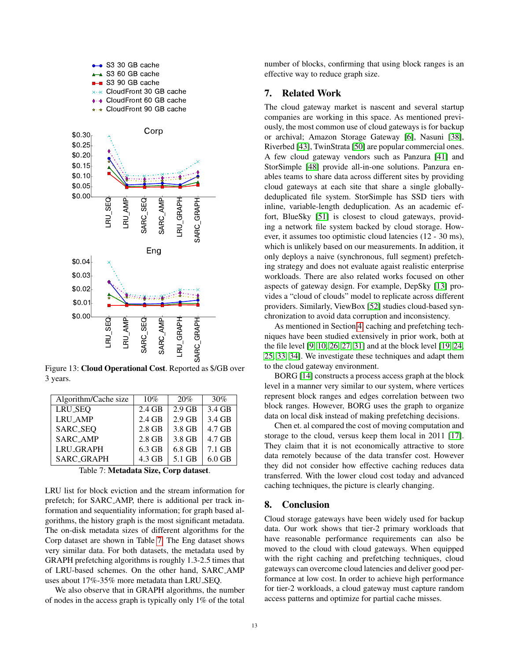<span id="page-12-0"></span>

Figure 13: Cloud Operational Cost. Reported as \$/GB over 3 years.

<span id="page-12-1"></span>

| Algorithm/Cache size | $10\%$   | 20%      | 30%      |
|----------------------|----------|----------|----------|
| LRU <sub>-SEQ</sub>  | $2.4$ GB | $2.9$ GB | 3.4 GB   |
| <b>LRU_AMP</b>       | $2.4$ GB | $2.9$ GB | 3.4 GB   |
| SARC_SEQ             | $2.8$ GB | 3.8 GB   | $4.7$ GB |
| <b>SARC_AMP</b>      | $2.8$ GB | 3.8 GB   | 4.7 GB   |
| <b>LRU_GRAPH</b>     | $6.3$ GB | 6.8 GB   | $7.1$ GB |
| <b>SARC GRAPH</b>    | 4.3 GB   | 5.1 GB   | $6.0$ GB |

Table 7: Metadata Size, Corp dataset.

LRU list for block eviction and the stream information for prefetch; for SARC AMP, there is additional per track information and sequentiality information; for graph based algorithms, the history graph is the most significant metadata. The on-disk metadata sizes of different algorithms for the Corp dataset are shown in Table [7.](#page-12-1) The Eng dataset shows very similar data. For both datasets, the metadata used by GRAPH prefetching algorithms is roughly 1.3-2.5 times that of LRU-based schemes. On the other hand, SARC AMP uses about 17%-35% more metadata than LRU SEQ.

We also observe that in GRAPH algorithms, the number of nodes in the access graph is typically only 1% of the total number of blocks, confirming that using block ranges is an effective way to reduce graph size.

## 7. Related Work

The cloud gateway market is nascent and several startup companies are working in this space. As mentioned previously, the most common use of cloud gateways is for backup or archival; Amazon Storage Gateway [\[6\]](#page-13-25), Nasuni [\[38\]](#page-14-0), Riverbed [\[43\]](#page-14-7), TwinStrata [\[50\]](#page-14-18) are popular commercial ones. A few cloud gateway vendors such as Panzura [\[41\]](#page-14-2) and StorSimple [\[48\]](#page-14-1) provide all-in-one solutions. Panzura enables teams to share data across different sites by providing cloud gateways at each site that share a single globallydeduplicated file system. StorSimple has SSD tiers with inline, variable-length deduplication. As an academic effort, BlueSky [\[51\]](#page-14-19) is closest to cloud gateways, providing a network file system backed by cloud storage. However, it assumes too optimistic cloud latencies (12 - 30 ms), which is unlikely based on our measurements. In addition, it only deploys a naive (synchronous, full segment) prefetching strategy and does not evaluate agaist realistic enterprise workloads. There are also related works focused on other aspects of gateway design. For example, DepSky [\[13\]](#page-13-29) provides a "cloud of clouds" model to replicate across different providers. Similarly, ViewBox [\[52\]](#page-14-20) studies cloud-based synchronization to avoid data corruption and inconsistency.

As mentioned in Section [4,](#page-3-4) caching and prefetching techniques have been studied extensively in prior work, both at the file level [\[9,](#page-13-21) [10,](#page-13-17) [26,](#page-13-18) [27,](#page-13-22) [31\]](#page-13-20) and at the block level [\[19,](#page-13-23) [24,](#page-13-15) [25,](#page-13-14) [33,](#page-14-10) [34\]](#page-14-12). We investigate these techniques and adapt them to the cloud gateway environment.

BORG [\[14\]](#page-13-30) constructs a process access graph at the block level in a manner very similar to our system, where vertices represent block ranges and edges correlation between two block ranges. However, BORG uses the graph to organize data on local disk instead of making prefetching decisions.

Chen et. al compared the cost of moving computation and storage to the cloud, versus keep them local in 2011 [\[17\]](#page-13-31). They claim that it is not economically attractive to store data remotely because of the data transfer cost. However they did not consider how effective caching reduces data transferred. With the lower cloud cost today and advanced caching techniques, the picture is clearly changing.

# 8. Conclusion

Cloud storage gateways have been widely used for backup data. Our work shows that tier-2 primary workloads that have reasonable performance requirements can also be moved to the cloud with cloud gateways. When equipped with the right caching and prefetching techniques, cloud gateways can overcome cloud latencies and deliver good performance at low cost. In order to achieve high performance for tier-2 workloads, a cloud gateway must capture random access patterns and optimize for partial cache misses.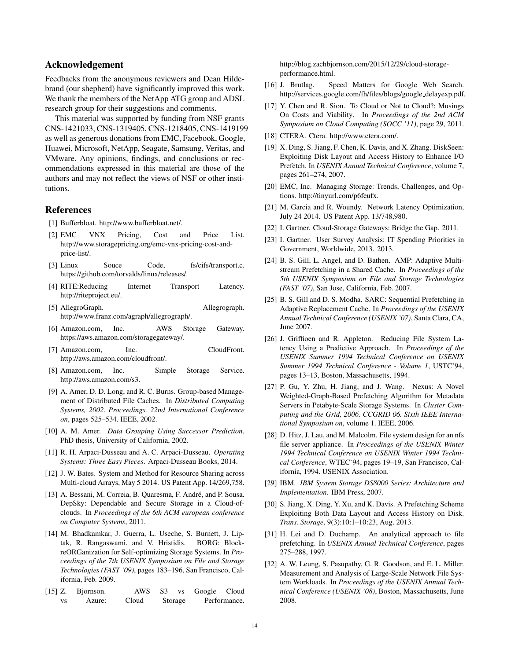# Acknowledgement

Feedbacks from the anonymous reviewers and Dean Hildebrand (our shepherd) have significantly improved this work. We thank the members of the NetApp ATG group and ADSL research group for their suggestions and comments.

This material was supported by funding from NSF grants CNS-1421033, CNS-1319405, CNS-1218405, CNS-1419199 as well as generous donations from EMC, Facebook, Google, Huawei, Microsoft, NetApp, Seagate, Samsung, Veritas, and VMware. Any opinions, findings, and conclusions or recommendations expressed in this material are those of the authors and may not reflect the views of NSF or other institutions.

# References

- <span id="page-13-4"></span>[1] Bufferbloat. http://www.bufferbloat.net/.
- <span id="page-13-28"></span>[2] EMC VNX Pricing, Cost and Price List. http://www.storagepricing.org/emc-vnx-pricing-cost-andprice-list/.
- <span id="page-13-12"></span>[3] Linux Souce Code, fs/cifs/transport.c. https://github.com/torvalds/linux/releases/.
- <span id="page-13-5"></span>[4] RITE:Reducing Internet Transport Latency. http://riteproject.eu/.
- <span id="page-13-24"></span>[5] AllegroGraph. Allegrograph. http://www.franz.com/agraph/allegrograph/.
- <span id="page-13-25"></span>[6] Amazon.com, Inc. AWS Storage Gateway. https://aws.amazon.com/storagegateway/.
- <span id="page-13-7"></span>[7] Amazon.com, Inc. CloudFront. http://aws.amazon.com/cloudfront/.
- <span id="page-13-8"></span>[8] Amazon.com, Inc. Simple Storage Service. http://aws.amazon.com/s3.
- <span id="page-13-21"></span>[9] A. Amer, D. D. Long, and R. C. Burns. Group-based Management of Distributed File Caches. In *Distributed Computing Systems, 2002. Proceedings. 22nd International Conference on*, pages 525–534. IEEE, 2002.
- <span id="page-13-17"></span>[10] A. M. Amer. *Data Grouping Using Successor Prediction*. PhD thesis, University of California, 2002.
- <span id="page-13-13"></span>[11] R. H. Arpaci-Dusseau and A. C. Arpaci-Dusseau. *Operating Systems: Three Easy Pieces*. Arpaci-Dusseau Books, 2014.
- <span id="page-13-27"></span>[12] J. W. Bates. System and Method for Resource Sharing across Multi-cloud Arrays, May 5 2014. US Patent App. 14/269,758.
- <span id="page-13-29"></span>[13] A. Bessani, M. Correia, B. Quaresma, F. André, and P. Sousa. DepSky: Dependable and Secure Storage in a Cloud-ofclouds. In *Proceedings of the 6th ACM european conference on Computer Systems*, 2011.
- <span id="page-13-30"></span>[14] M. Bhadkamkar, J. Guerra, L. Useche, S. Burnett, J. Liptak, R. Rangaswami, and V. Hristidis. BORG: BlockreORGanization for Self-optimizing Storage Systems. In *Proceedings of the 7th USENIX Symposium on File and Storage Technologies (FAST '09)*, pages 183–196, San Francisco, California, Feb. 2009.
- <span id="page-13-11"></span>[15] Z. Bjornson. AWS S3 vs Google Cloud vs Azure: Cloud Storage Performance.

http://blog.zachbjornson.com/2015/12/29/cloud-storageperformance.html.

- <span id="page-13-3"></span>[16] J. Brutlag. Speed Matters for Google Web Search. http://services.google.com/fh/files/blogs/google delayexp.pdf.
- <span id="page-13-31"></span>[17] Y. Chen and R. Sion. To Cloud or Not to Cloud?: Musings On Costs and Viability. In *Proceedings of the 2nd ACM Symposium on Cloud Computing (SOCC '11)*, page 29, 2011.
- <span id="page-13-2"></span>[18] CTERA. Ctera. http://www.ctera.com/.
- <span id="page-13-23"></span>[19] X. Ding, S. Jiang, F. Chen, K. Davis, and X. Zhang. DiskSeen: Exploiting Disk Layout and Access History to Enhance I/O Prefetch. In *USENIX Annual Technical Conference*, volume 7, pages 261–274, 2007.
- <span id="page-13-1"></span>[20] EMC, Inc. Managing Storage: Trends, Challenges, and Options. http://tinyurl.com/p6feufx.
- <span id="page-13-6"></span>[21] M. Garcia and R. Woundy. Network Latency Optimization, July 24 2014. US Patent App. 13/748,980.
- <span id="page-13-9"></span>[22] I. Gartner. Cloud-Storage Gateways: Bridge the Gap. 2011.
- <span id="page-13-0"></span>[23] I. Gartner. User Survey Analysis: IT Spending Priorities in Government, Worldwide, 2013. 2013.
- <span id="page-13-15"></span>[24] B. S. Gill, L. Angel, and D. Bathen. AMP: Adaptive Multistream Prefetching in a Shared Cache. In *Proceedings of the 5th USENIX Symposium on File and Storage Technologies (FAST '07)*, San Jose, California, Feb. 2007.
- <span id="page-13-14"></span>[25] B. S. Gill and D. S. Modha. SARC: Sequential Prefetching in Adaptive Replacement Cache. In *Proceedings of the USENIX Annual Technical Conference (USENIX '07)*, Santa Clara, CA, June 2007.
- <span id="page-13-18"></span>[26] J. Griffioen and R. Appleton. Reducing File System Latency Using a Predictive Approach. In *Proceedings of the USENIX Summer 1994 Technical Conference on USENIX Summer 1994 Technical Conference - Volume 1*, USTC'94, pages 13–13, Boston, Massachusetts, 1994.
- <span id="page-13-22"></span>[27] P. Gu, Y. Zhu, H. Jiang, and J. Wang. Nexus: A Novel Weighted-Graph-Based Prefetching Algorithm for Metadata Servers in Petabyte-Scale Storage Systems. In *Cluster Computing and the Grid, 2006. CCGRID 06. Sixth IEEE International Symposium on*, volume 1. IEEE, 2006.
- <span id="page-13-26"></span>[28] D. Hitz, J. Lau, and M. Malcolm. File system design for an nfs file server appliance. In *Proceedings of the USENIX Winter 1994 Technical Conference on USENIX Winter 1994 Technical Conference*, WTEC'94, pages 19–19, San Francisco, California, 1994. USENIX Association.
- <span id="page-13-16"></span>[29] IBM. *IBM System Storage DS8000 Series: Architecture and Implementation*. IBM Press, 2007.
- <span id="page-13-19"></span>[30] S. Jiang, X. Ding, Y. Xu, and K. Davis. A Prefetching Scheme Exploiting Both Data Layout and Access History on Disk. *Trans. Storage*, 9(3):10:1–10:23, Aug. 2013.
- <span id="page-13-20"></span>[31] H. Lei and D. Duchamp. An analytical approach to file prefetching. In *USENIX Annual Technical Conference*, pages 275–288, 1997.
- <span id="page-13-10"></span>[32] A. W. Leung, S. Pasupathy, G. R. Goodson, and E. L. Miller. Measurement and Analysis of Large-Scale Network File System Workloads. In *Proceedings of the USENIX Annual Technical Conference (USENIX '08)*, Boston, Massachusetts, June 2008.